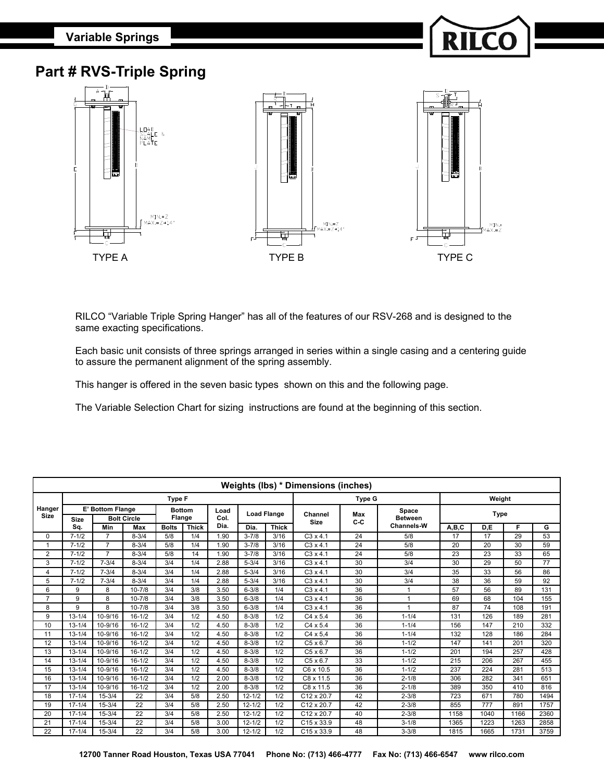**Variable Springs**



## **Part # RVS-Triple Spring**



RILCO "Variable Triple Spring Hanger" has all of the features of our RSV-268 and is designed to the same exacting specifications.

Each basic unit consists of three springs arranged in series within a single casing and a centering guide to assure the permanent alignment of the spring assembly.

This hanger is offered in the seven basic types shown on this and the following page.

The Variable Selection Chart for sizing instructions are found at the beginning of this section.

|                       | <b>Weights (lbs) * Dimensions (inches)</b> |                |            |                              |        |      |                    |              |                        |            |                   |             |      |      |      |  |
|-----------------------|--------------------------------------------|----------------|------------|------------------------------|--------|------|--------------------|--------------|------------------------|------------|-------------------|-------------|------|------|------|--|
|                       |                                            |                |            | <b>Type F</b>                |        |      |                    |              |                        | Weight     |                   |             |      |      |      |  |
| Hanger<br><b>Size</b> | E' Bottom Flange                           |                |            | <b>Bottom</b>                |        | Load | <b>Load Flange</b> |              |                        |            | Space             |             |      |      |      |  |
|                       | <b>Bolt Circle</b><br><b>Size</b>          |                |            |                              | Flange | Col. |                    |              | Channel<br><b>Size</b> | Max<br>C-C | <b>Between</b>    | <b>Type</b> |      |      |      |  |
|                       | Sq.                                        | Min            | Max        | <b>Bolts</b><br><b>Thick</b> |        | Dia. | Dia.               | <b>Thick</b> |                        |            | <b>Channels-W</b> | A,B,C       | D,E  | F    | G    |  |
| $\Omega$              | $7 - 1/2$                                  | 7              | $8 - 3/4$  | 5/8                          | 1/4    | 1.90 | $3 - 7/8$          | 3/16         | $C3 \times 4.1$        | 24         | 5/8               | 17          | 17   | 29   | 53   |  |
| 1                     | $7 - 1/2$                                  | $\overline{7}$ | $8 - 3/4$  | 5/8                          | 1/4    | 1.90 | $3 - 7/8$          | 3/16         | $C3 \times 4.1$        | 24         | 5/8               | 20          | 20   | 30   | 59   |  |
| 2                     | $7 - 1/2$                                  | 7              | $8 - 3/4$  | 5/8                          | 14     | 1.90 | $3 - 7/8$          | 3/16         | $C3 \times 4.1$        | 24         | 5/8               | 23          | 23   | 33   | 65   |  |
| 3                     | $7 - 1/2$                                  | $7 - 3/4$      | $8 - 3/4$  | 3/4                          | 1/4    | 2.88 | $5 - 3/4$          | 3/16         | $C3 \times 4.1$        | 30         | 3/4               | 30          | 29   | 50   | 77   |  |
| 4                     | $7 - 1/2$                                  | $7 - 3/4$      | $8 - 3/4$  | 3/4                          | 1/4    | 2.88 | $5 - 3/4$          | 3/16         | $C3 \times 4.1$        | 30         | 3/4               | 35          | 33   | 56   | 86   |  |
| 5                     | $7 - 1/2$                                  | $7 - 3/4$      | $8 - 3/4$  | 3/4                          | 1/4    | 2.88 | $5 - 3/4$          | 3/16         | $C3 \times 4.1$        | 30         | 3/4               | 38          | 36   | 59   | 92   |  |
| 6                     | 9                                          | 8              | $10 - 7/8$ | 3/4                          | 3/8    | 3.50 | $6 - 3/8$<br>1/4   |              | $C3 \times 4.1$        | 36         | -1                | 57          | 56   | 89   | 131  |  |
| $\overline{7}$        | 9                                          | 8              | $10 - 7/8$ | 3/4                          | 3/8    | 3.50 | $6 - 3/8$<br>1/4   |              | $C3 \times 4.1$        | 36         |                   | 69          | 68   | 104  | 155  |  |
| 8                     | 9                                          | 8              | $10 - 7/8$ | 3/4                          | 3/8    | 3.50 | $6 - 3/8$<br>1/4   |              | $C3 \times 4.1$        | 36         |                   | 87          | 74   | 108  | 191  |  |
| 9                     | $13 - 1/4$                                 | 10-9/16        | $16 - 1/2$ | 3/4                          | 1/2    | 4.50 | $8 - 3/8$<br>1/2   |              | $C4 \times 5.4$        | 36         | $1 - 1/4$         | 131         | 126  | 189  | 281  |  |
| 10                    | $13 - 1/4$                                 | 10-9/16        | $16 - 1/2$ | 3/4                          | 1/2    | 4.50 | $8 - 3/8$          | 1/2          | $C4 \times 5.4$        | 36         | $1 - 1/4$         | 156         | 147  | 210  | 332  |  |
| 11                    | $13 - 1/4$                                 | 10-9/16        | $16 - 1/2$ | 3/4                          | 1/2    | 4.50 | $8 - 3/8$          | 1/2          | $C4 \times 5.4$        | 36         | $1 - 1/4$         | 132         | 128  | 186  | 284  |  |
| 12                    | $13 - 1/4$                                 | 10-9/16        | $16 - 1/2$ | 3/4                          | 1/2    | 4.50 | $8 - 3/8$          | 1/2          | $C5 \times 6.7$        | 36         | $1 - 1/2$         | 147         | 141  | 201  | 320  |  |
| 13                    | $13 - 1/4$                                 | 10-9/16        | $16 - 1/2$ | 3/4                          | 1/2    | 4.50 | $8 - 3/8$          | 1/2          | $C5 \times 6.7$        | 36         | $1 - 1/2$         | 201         | 194  | 257  | 428  |  |
| 14                    | $13 - 1/4$                                 | 10-9/16        | $16 - 1/2$ | 3/4                          | 1/2    | 4.50 | $8 - 3/8$          | 1/2          | $C5 \times 6.7$        | 33         | $1 - 1/2$         | 215         | 206  | 267  | 455  |  |
| 15                    | $13 - 1/4$                                 | 10-9/16        | $16 - 1/2$ | 3/4                          | 1/2    | 4.50 | $8 - 3/8$          | 1/2          | C6 x 10.5              | 36         | $1 - 1/2$         | 237         | 224  | 281  | 513  |  |
| 16                    | $13 - 1/4$                                 | 10-9/16        | $16 - 1/2$ | 3/4                          | 1/2    | 2.00 | $8 - 3/8$          | 1/2          | C8 x 11.5              | 36         | $2 - 1/8$         | 306         | 282  | 341  | 651  |  |
| 17                    | $13 - 1/4$                                 | 10-9/16        | $16 - 1/2$ | 3/4                          | 1/2    | 2.00 | $8 - 3/8$          | 1/2          | C8 x 11.5              | 36         | $2 - 1/8$         | 389         | 350  | 410  | 816  |  |
| 18                    | $17 - 1/4$                                 | $15 - 3/4$     | 22         | 3/4                          | 5/8    | 2.50 | $12 - 1/2$         | 1/2          | $C12 \times 20.7$      | 42         | $2 - 3/8$         | 723         | 671  | 780  | 1494 |  |
| 19                    | $17 - 1/4$                                 | $15 - 3/4$     | 22         | 3/4                          | 5/8    | 2.50 | $12 - 1/2$         | 1/2          | $C12 \times 20.7$      | 42         | $2 - 3/8$         | 855         | 777  | 891  | 1757 |  |
| 20                    | $17 - 1/4$                                 | $15 - 3/4$     | 22         | 3/4                          | 5/8    | 2.50 | $12 - 1/2$         | 1/2          | C12 x 20.7             | 40         | $2 - 3/8$         | 1158        | 1040 | 1166 | 2360 |  |
| 21                    | $17 - 1/4$                                 | $15 - 3/4$     | 22         | 3/4                          | 5/8    | 3.00 | $12 - 1/2$         | 1/2          | $C15 \times 33.9$      | 48         | $3 - 1/8$         | 1365        | 1223 | 1263 | 2858 |  |
| 22                    | $17 - 1/4$                                 | $15 - 3/4$     | 22         | 3/4                          | 5/8    | 3.00 | $12 - 1/2$         | 1/2          | C <sub>15</sub> x 33.9 | 48         | $3 - 3/8$         | 1815        | 1665 | 1731 | 3759 |  |